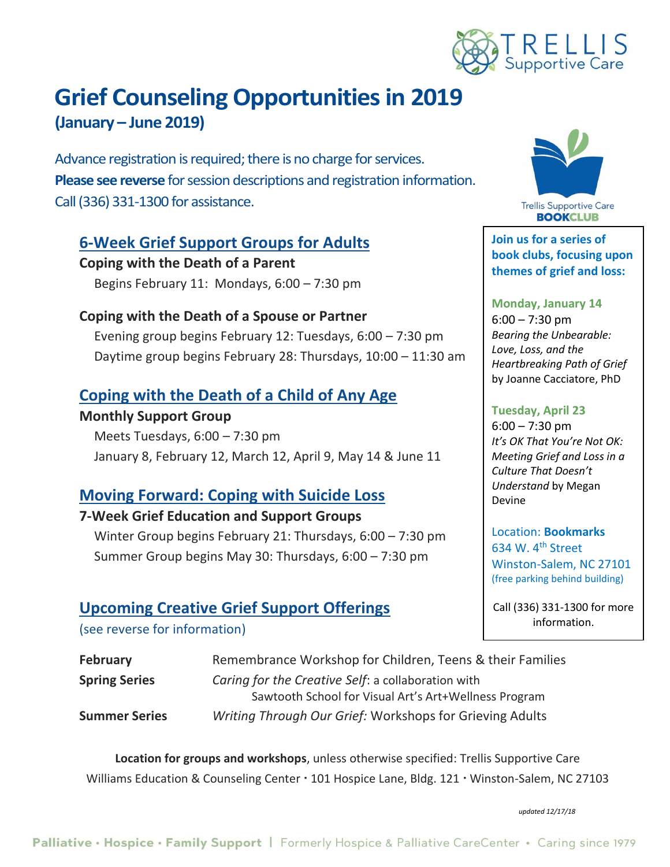

# **Grief Counseling Opportunities in 2019 (January – June 2019)**

Advance registration is required; there is no charge for services. **Please see reverse** for session descriptions and registration information. Call (336) 331-1300 for assistance.

## **6-Week Grief Support Groups for Adults**

**Coping with the Death of a Parent** Begins February 11: Mondays, 6:00 – 7:30 pm

## **Coping with the Death of a Spouse or Partner**

Evening group begins February 12: Tuesdays, 6:00 – 7:30 pm Daytime group begins February 28: Thursdays, 10:00 – 11:30 am

## **Coping with the Death of a Child of Any Age**

#### **Monthly Support Group**

Meets Tuesdays, 6:00 – 7:30 pm January 8, February 12, March 12, April 9, May 14 & June 11

## **Moving Forward: Coping with Suicide Loss**

#### **7-Week Grief Education and Support Groups**

Winter Group begins February 21: Thursdays, 6:00 – 7:30 pm Summer Group begins May 30: Thursdays, 6:00 – 7:30 pm

## **Upcoming Creative Grief Support Offerings**

(see reverse for information)

| <b>February</b>      | Remembrance Workshop for Children, Teens & their Families |
|----------------------|-----------------------------------------------------------|
| <b>Spring Series</b> | Caring for the Creative Self: a collaboration with        |
|                      | Sawtooth School for Visual Art's Art+Wellness Program     |
| <b>Summer Series</b> | Writing Through Our Grief: Workshops for Grieving Adults  |

**Location for groups and workshops**, unless otherwise specified: Trellis Supportive Care Williams Education & Counseling Center · 101 Hospice Lane, Bldg. 121 · Winston-Salem, NC 27103

*updated 12/17/18*



**Join us for a series of book clubs, focusing upon themes of grief and loss:**

**Monday, January 14**  $6:00 - 7:30$  pm *Bearing the Unbearable: Love, Loss, and the Heartbreaking Path of Grief*  by Joanne Cacciatore, PhD

#### **Tuesday, April 23**

 $6:00 - 7:30$  pm *It's OK That You're Not OK: Meeting Grief and Loss in a Culture That Doesn't Understand* by Megan Devine

Location: **Bookmarks** 634 W. 4th Street Winston-Salem, NC 27101 (free parking behind building)

Call (336) 331-1300 for more information.